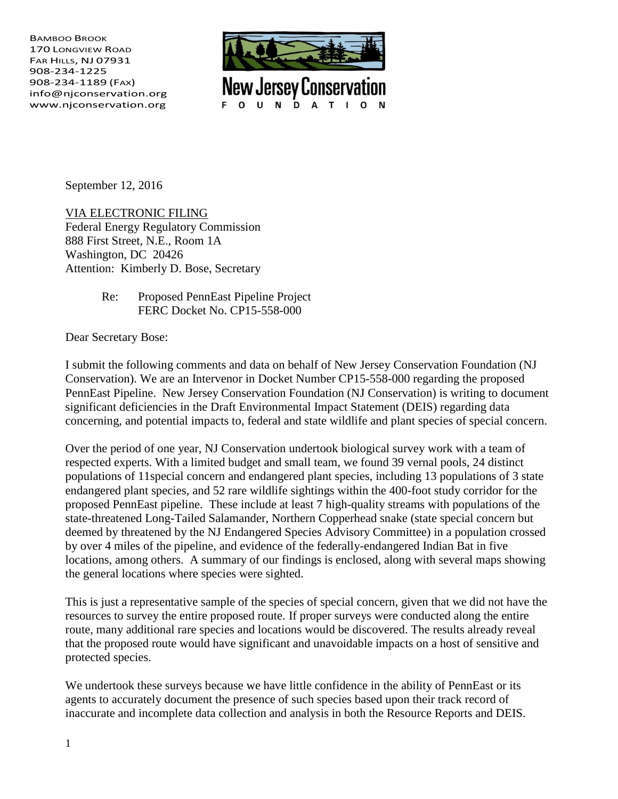BAMBOO BROOK 170 LONGVIEW ROAD FAR HILLS, NJ 07931 908-234-1225 908-234-1189 (FAX) info@njconservation.org www.njconservation.org



September 12, 2016

VIA ELECTRONIC FILING Federal Energy Regulatory Commission 888 First Street, N.E., Room 1A Washington, DC 20426 Attention: Kimberly D. Bose, Secretary

> Re: Proposed PennEast Pipeline Project FERC Docket No. CP15-558-000

Dear Secretary Bose:

I submit the following comments and data on behalf of New Jersey Conservation Foundation (NJ Conservation). We are an Intervenor in Docket Number CP15-558-000 regarding the proposed PennEast Pipeline. New Jersey Conservation Foundation (NJ Conservation) is writing to document significant deficiencies in the Draft Environmental Impact Statement (DEIS) regarding data concerning, and potential impacts to, federal and state wildlife and plant species of special concern.

Over the period of one year, NJ Conservation undertook biological survey work with a team of respected experts. With a limited budget and small team, we found 39 vernal pools, 24 distinct populations of 11special concern and endangered plant species, including 13 populations of 3 state endangered plant species, and 52 rare wildlife sightings within the 400-foot study corridor for the proposed PennEast pipeline. These include at least 7 high-quality streams with populations of the state-threatened Long-Tailed Salamander, Northern Copperhead snake (state special concern but deemed by threatened by the NJ Endangered Species Advisory Committee) in a population crossed by over 4 miles of the pipeline, and evidence of the federally-endangered Indian Bat in five locations, among others. A summary of our findings is enclosed, along with several maps showing the general locations where species were sighted.

This is just a representative sample of the species of special concern, given that we did not have the resources to survey the entire proposed route. If proper surveys were conducted along the entire route, many additional rare species and locations would be discovered. The results already reveal that the proposed route would have significant and unavoidable impacts on a host of sensitive and protected species.

We undertook these surveys because we have little confidence in the ability of PennEast or its agents to accurately document the presence of such species based upon their track record of inaccurate and incomplete data collection and analysis in both the Resource Reports and DEIS.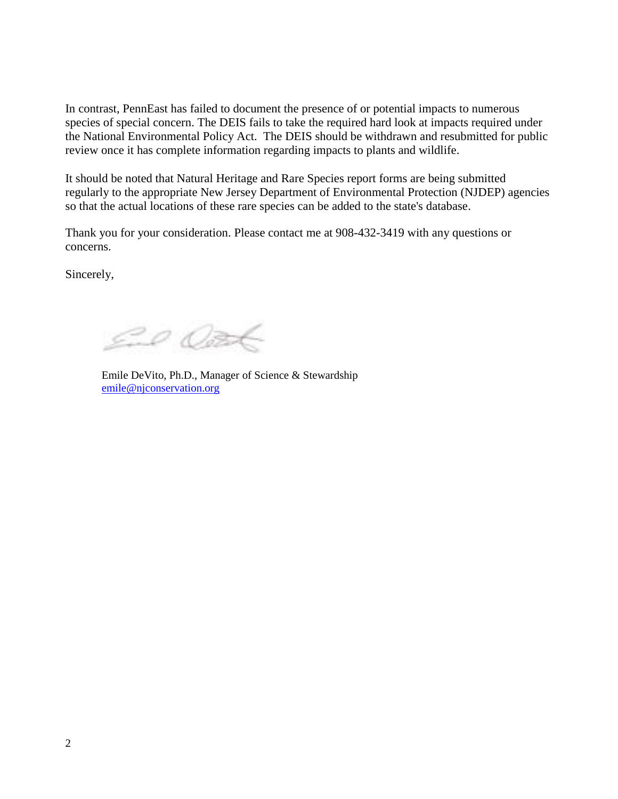In contrast, PennEast has failed to document the presence of or potential impacts to numerous species of special concern. The DEIS fails to take the required hard look at impacts required under the National Environmental Policy Act. The DEIS should be withdrawn and resubmitted for public review once it has complete information regarding impacts to plants and wildlife.

It should be noted that Natural Heritage and Rare Species report forms are being submitted regularly to the appropriate New Jersey Department of Environmental Protection (NJDEP) agencies so that the actual locations of these rare species can be added to the state's database.

Thank you for your consideration. Please contact me at 908-432-3419 with any questions or concerns.

Sincerely,

ED OFF

Emile DeVito, Ph.D., Manager of Science & Stewardship [emile@njconservation.org](mailto:emile@njconservation.org)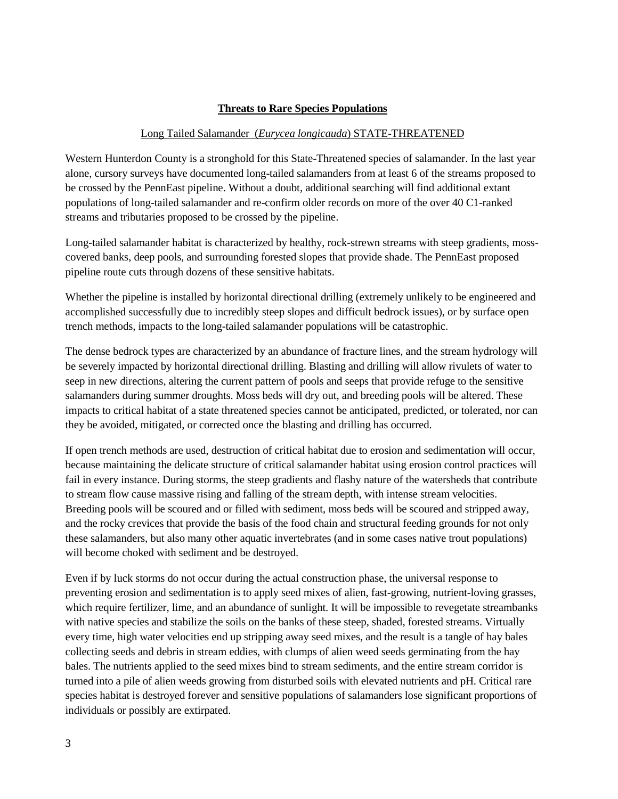## **Threats to Rare Species Populations**

#### Long Tailed Salamander (*Eurycea longicauda*) STATE-THREATENED

Western Hunterdon County is a stronghold for this State-Threatened species of salamander. In the last year alone, cursory surveys have documented long-tailed salamanders from at least 6 of the streams proposed to be crossed by the PennEast pipeline. Without a doubt, additional searching will find additional extant populations of long-tailed salamander and re-confirm older records on more of the over 40 C1-ranked streams and tributaries proposed to be crossed by the pipeline.

Long-tailed salamander habitat is characterized by healthy, rock-strewn streams with steep gradients, mosscovered banks, deep pools, and surrounding forested slopes that provide shade. The PennEast proposed pipeline route cuts through dozens of these sensitive habitats.

Whether the pipeline is installed by horizontal directional drilling (extremely unlikely to be engineered and accomplished successfully due to incredibly steep slopes and difficult bedrock issues), or by surface open trench methods, impacts to the long-tailed salamander populations will be catastrophic.

The dense bedrock types are characterized by an abundance of fracture lines, and the stream hydrology will be severely impacted by horizontal directional drilling. Blasting and drilling will allow rivulets of water to seep in new directions, altering the current pattern of pools and seeps that provide refuge to the sensitive salamanders during summer droughts. Moss beds will dry out, and breeding pools will be altered. These impacts to critical habitat of a state threatened species cannot be anticipated, predicted, or tolerated, nor can they be avoided, mitigated, or corrected once the blasting and drilling has occurred.

If open trench methods are used, destruction of critical habitat due to erosion and sedimentation will occur, because maintaining the delicate structure of critical salamander habitat using erosion control practices will fail in every instance. During storms, the steep gradients and flashy nature of the watersheds that contribute to stream flow cause massive rising and falling of the stream depth, with intense stream velocities. Breeding pools will be scoured and or filled with sediment, moss beds will be scoured and stripped away, and the rocky crevices that provide the basis of the food chain and structural feeding grounds for not only these salamanders, but also many other aquatic invertebrates (and in some cases native trout populations) will become choked with sediment and be destroyed.

Even if by luck storms do not occur during the actual construction phase, the universal response to preventing erosion and sedimentation is to apply seed mixes of alien, fast-growing, nutrient-loving grasses, which require fertilizer, lime, and an abundance of sunlight. It will be impossible to revegetate streambanks with native species and stabilize the soils on the banks of these steep, shaded, forested streams. Virtually every time, high water velocities end up stripping away seed mixes, and the result is a tangle of hay bales collecting seeds and debris in stream eddies, with clumps of alien weed seeds germinating from the hay bales. The nutrients applied to the seed mixes bind to stream sediments, and the entire stream corridor is turned into a pile of alien weeds growing from disturbed soils with elevated nutrients and pH. Critical rare species habitat is destroyed forever and sensitive populations of salamanders lose significant proportions of individuals or possibly are extirpated.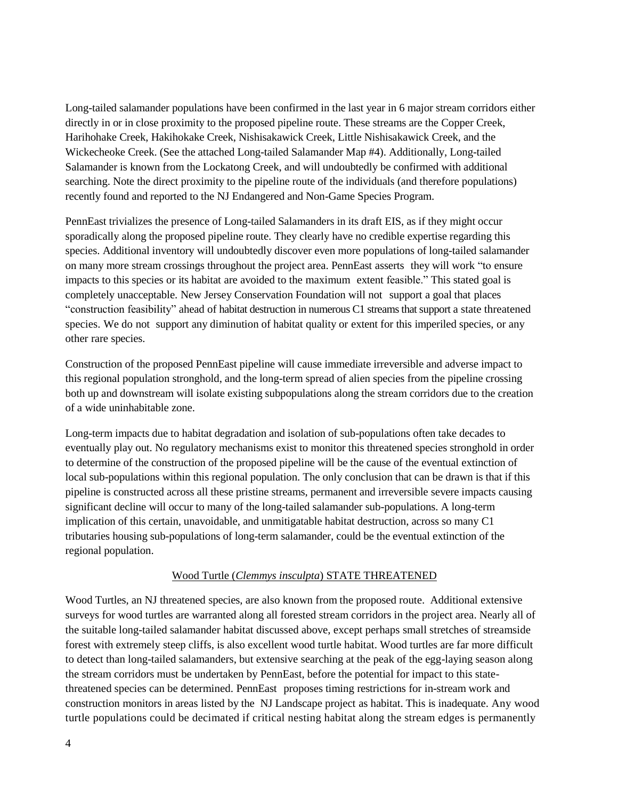Long-tailed salamander populations have been confirmed in the last year in 6 major stream corridors either directly in or in close proximity to the proposed pipeline route. These streams are the Copper Creek, Harihohake Creek, Hakihokake Creek, Nishisakawick Creek, Little Nishisakawick Creek, and the Wickecheoke Creek. (See the attached Long-tailed Salamander Map #4). Additionally, Long-tailed Salamander is known from the Lockatong Creek, and will undoubtedly be confirmed with additional searching. Note the direct proximity to the pipeline route of the individuals (and therefore populations) recently found and reported to the NJ Endangered and Non-Game Species Program.

PennEast trivializes the presence of Long-tailed Salamanders in its draft EIS, as if they might occur sporadically along the proposed pipeline route. They clearly have no credible expertise regarding this species. Additional inventory will undoubtedly discover even more populations of long-tailed salamander on many more stream crossings throughout the project area. PennEast asserts they will work "to ensure impacts to this species or its habitat are avoided to the maximum extent feasible." This stated goal is completely unacceptable. New Jersey Conservation Foundation will not support a goal that places "construction feasibility" ahead of habitat destruction in numerous C1 streams that support a state threatened species. We do not support any diminution of habitat quality or extent for this imperiled species, or any other rare species.

Construction of the proposed PennEast pipeline will cause immediate irreversible and adverse impact to this regional population stronghold, and the long-term spread of alien species from the pipeline crossing both up and downstream will isolate existing subpopulations along the stream corridors due to the creation of a wide uninhabitable zone.

Long-term impacts due to habitat degradation and isolation of sub-populations often take decades to eventually play out. No regulatory mechanisms exist to monitor this threatened species stronghold in order to determine of the construction of the proposed pipeline will be the cause of the eventual extinction of local sub-populations within this regional population. The only conclusion that can be drawn is that if this pipeline is constructed across all these pristine streams, permanent and irreversible severe impacts causing significant decline will occur to many of the long-tailed salamander sub-populations. A long-term implication of this certain, unavoidable, and unmitigatable habitat destruction, across so many C1 tributaries housing sub-populations of long-term salamander, could be the eventual extinction of the regional population.

#### Wood Turtle (*Clemmys insculpta*) STATE THREATENED

Wood Turtles, an NJ threatened species, are also known from the proposed route. Additional extensive surveys for wood turtles are warranted along all forested stream corridors in the project area. Nearly all of the suitable long-tailed salamander habitat discussed above, except perhaps small stretches of streamside forest with extremely steep cliffs, is also excellent wood turtle habitat. Wood turtles are far more difficult to detect than long-tailed salamanders, but extensive searching at the peak of the egg-laying season along the stream corridors must be undertaken by PennEast, before the potential for impact to this statethreatened species can be determined. PennEast proposes timing restrictions for in-stream work and construction monitors in areas listed by the NJ Landscape project as habitat. This is inadequate. Any wood turtle populations could be decimated if critical nesting habitat along the stream edges is permanently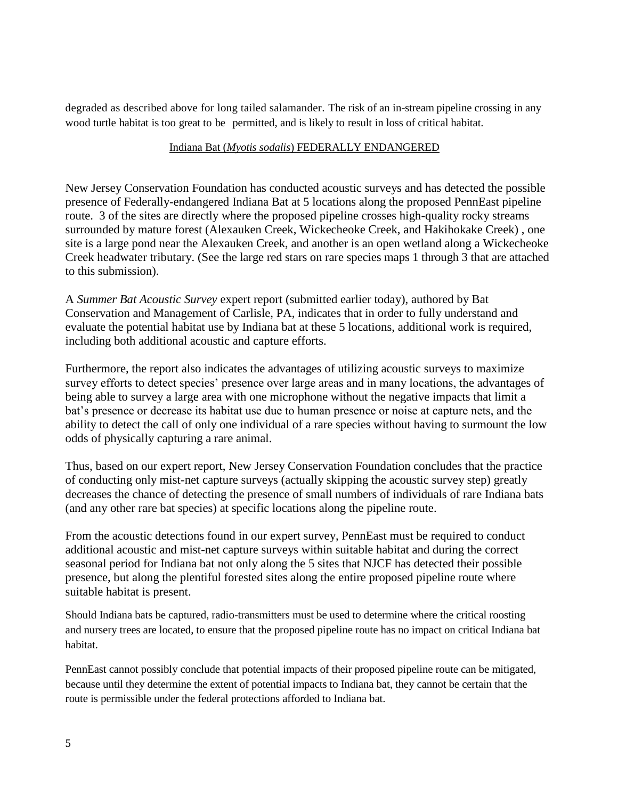degraded as described above for long tailed salamander. The risk of an in-stream pipeline crossing in any wood turtle habitat is too great to be permitted, and is likely to result in loss of critical habitat.

## Indiana Bat (*Myotis sodalis*) FEDERALLY ENDANGERED

New Jersey Conservation Foundation has conducted acoustic surveys and has detected the possible presence of Federally-endangered Indiana Bat at 5 locations along the proposed PennEast pipeline route. 3 of the sites are directly where the proposed pipeline crosses high-quality rocky streams surrounded by mature forest (Alexauken Creek, Wickecheoke Creek, and Hakihokake Creek) , one site is a large pond near the Alexauken Creek, and another is an open wetland along a Wickecheoke Creek headwater tributary. (See the large red stars on rare species maps 1 through 3 that are attached to this submission).

A *Summer Bat Acoustic Survey* expert report (submitted earlier today), authored by Bat Conservation and Management of Carlisle, PA, indicates that in order to fully understand and evaluate the potential habitat use by Indiana bat at these 5 locations, additional work is required, including both additional acoustic and capture efforts.

Furthermore, the report also indicates the advantages of utilizing acoustic surveys to maximize survey efforts to detect species' presence over large areas and in many locations, the advantages of being able to survey a large area with one microphone without the negative impacts that limit a bat's presence or decrease its habitat use due to human presence or noise at capture nets, and the ability to detect the call of only one individual of a rare species without having to surmount the low odds of physically capturing a rare animal.

Thus, based on our expert report, New Jersey Conservation Foundation concludes that the practice of conducting only mist-net capture surveys (actually skipping the acoustic survey step) greatly decreases the chance of detecting the presence of small numbers of individuals of rare Indiana bats (and any other rare bat species) at specific locations along the pipeline route.

From the acoustic detections found in our expert survey, PennEast must be required to conduct additional acoustic and mist-net capture surveys within suitable habitat and during the correct seasonal period for Indiana bat not only along the 5 sites that NJCF has detected their possible presence, but along the plentiful forested sites along the entire proposed pipeline route where suitable habitat is present.

Should Indiana bats be captured, radio-transmitters must be used to determine where the critical roosting and nursery trees are located, to ensure that the proposed pipeline route has no impact on critical Indiana bat habitat.

PennEast cannot possibly conclude that potential impacts of their proposed pipeline route can be mitigated, because until they determine the extent of potential impacts to Indiana bat, they cannot be certain that the route is permissible under the federal protections afforded to Indiana bat.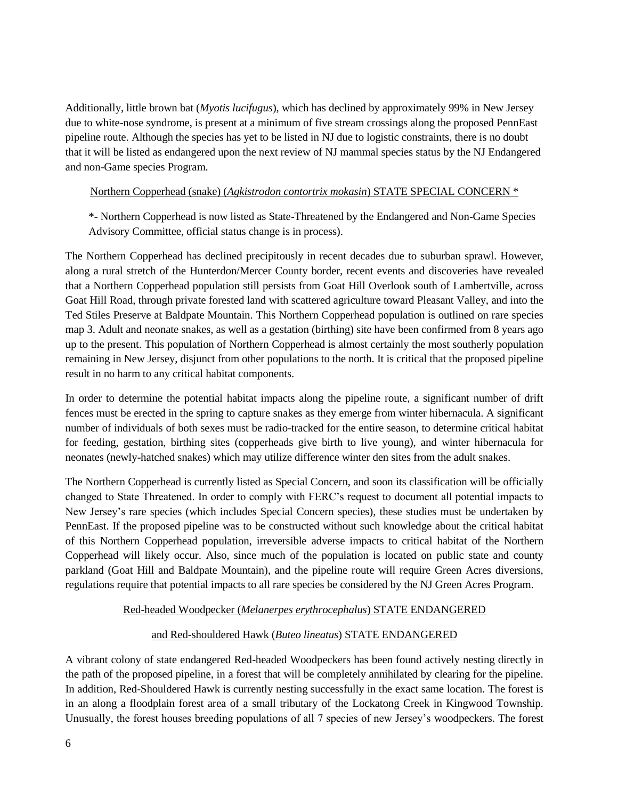Additionally, little brown bat (*Myotis lucifugus*), which has declined by approximately 99% in New Jersey due to white-nose syndrome, is present at a minimum of five stream crossings along the proposed PennEast pipeline route. Although the species has yet to be listed in NJ due to logistic constraints, there is no doubt that it will be listed as endangered upon the next review of NJ mammal species status by the NJ Endangered and non-Game species Program.

## Northern Copperhead (snake) (*Agkistrodon contortrix mokasin*) STATE SPECIAL CONCERN \*

\*- Northern Copperhead is now listed as State-Threatened by the Endangered and Non-Game Species Advisory Committee, official status change is in process).

The Northern Copperhead has declined precipitously in recent decades due to suburban sprawl. However, along a rural stretch of the Hunterdon/Mercer County border, recent events and discoveries have revealed that a Northern Copperhead population still persists from Goat Hill Overlook south of Lambertville, across Goat Hill Road, through private forested land with scattered agriculture toward Pleasant Valley, and into the Ted Stiles Preserve at Baldpate Mountain. This Northern Copperhead population is outlined on rare species map 3. Adult and neonate snakes, as well as a gestation (birthing) site have been confirmed from 8 years ago up to the present. This population of Northern Copperhead is almost certainly the most southerly population remaining in New Jersey, disjunct from other populations to the north. It is critical that the proposed pipeline result in no harm to any critical habitat components.

In order to determine the potential habitat impacts along the pipeline route, a significant number of drift fences must be erected in the spring to capture snakes as they emerge from winter hibernacula. A significant number of individuals of both sexes must be radio-tracked for the entire season, to determine critical habitat for feeding, gestation, birthing sites (copperheads give birth to live young), and winter hibernacula for neonates (newly-hatched snakes) which may utilize difference winter den sites from the adult snakes.

The Northern Copperhead is currently listed as Special Concern, and soon its classification will be officially changed to State Threatened. In order to comply with FERC's request to document all potential impacts to New Jersey's rare species (which includes Special Concern species), these studies must be undertaken by PennEast. If the proposed pipeline was to be constructed without such knowledge about the critical habitat of this Northern Copperhead population, irreversible adverse impacts to critical habitat of the Northern Copperhead will likely occur. Also, since much of the population is located on public state and county parkland (Goat Hill and Baldpate Mountain), and the pipeline route will require Green Acres diversions, regulations require that potential impacts to all rare species be considered by the NJ Green Acres Program.

# Red-headed Woodpecker (*Melanerpes erythrocephalus*) STATE ENDANGERED

# and Red-shouldered Hawk (*Buteo lineatus*) STATE ENDANGERED

A vibrant colony of state endangered Red-headed Woodpeckers has been found actively nesting directly in the path of the proposed pipeline, in a forest that will be completely annihilated by clearing for the pipeline. In addition, Red-Shouldered Hawk is currently nesting successfully in the exact same location. The forest is in an along a floodplain forest area of a small tributary of the Lockatong Creek in Kingwood Township. Unusually, the forest houses breeding populations of all 7 species of new Jersey's woodpeckers. The forest